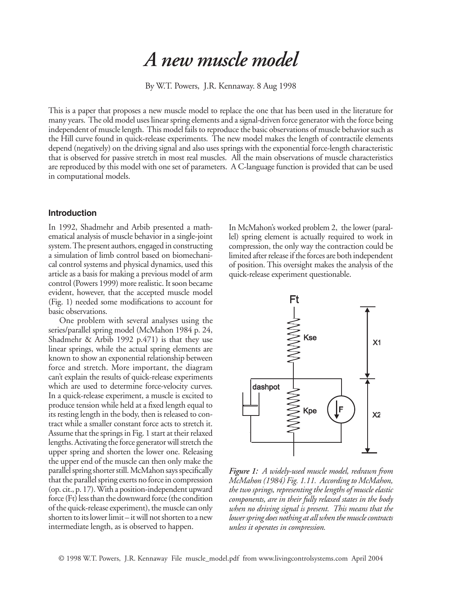# *A new muscle model*

By W.T. Powers, J.R. Kennaway. 8 Aug 1998

This is a paper that proposes a new muscle model to replace the one that has been used in the literature for many years. The old model uses linear spring elements and a signal-driven force generator with the force being independent of muscle length. This model fails to reproduce the basic observations of muscle behavior such as the Hill curve found in quick-release experiments. The new model makes the length of contractile elements depend (negatively) on the driving signal and also uses springs with the exponential force-length characteristic that is observed for passive stretch in most real muscles. All the main observations of muscle characteristics are reproduced by this model with one set of parameters. A C-language function is provided that can be used in computational models.

### **Introduction**

In 1992, Shadmehr and Arbib presented a mathematical analysis of muscle behavior in a single-joint system. The present authors, engaged in constructing a simulation of limb control based on biomechanical control systems and physical dynamics, used this article as a basis for making a previous model of arm control (Powers 1999) more realistic. It soon became evident, however, that the accepted muscle model (Fig. 1) needed some modifications to account for basic observations.

One problem with several analyses using the series/parallel spring model (McMahon 1984 p. 24, Shadmehr & Arbib 1992 p.471) is that they use linear springs, while the actual spring elements are known to show an exponential relationship between force and stretch. More important, the diagram can't explain the results of quick-release experiments which are used to determine force-velocity curves. In a quick-release experiment, a muscle is excited to produce tension while held at a fixed length equal to its resting length in the body, then is released to contract while a smaller constant force acts to stretch it. Assume that the springs in Fig. 1 start at their relaxed lengths. Activating the force generator will stretch the upper spring and shorten the lower one. Releasing the upper end of the muscle can then only make the parallel spring shorter still. McMahon says specifically that the parallel spring exerts no force in compression (op. cit., p. 17). With a position-independent upward force (Ft) less than the downward force (the condition of the quick-release experiment), the muscle can only shorten to its lower limit – it will not shorten to a new intermediate length, as is observed to happen.

In McMahon's worked problem 2, the lower (parallel) spring element is actually required to work in compression, the only way the contraction could be limited after release if the forces are both independent of position. This oversight makes the analysis of the quick-release experiment questionable.



*Figure 1: A widely-used muscle model, redrawn from McMahon (1984) Fig. 1.11. According to McMahon, the two springs, representing the lengths of muscle elastic components, are in their fully relaxed states in the body when no driving signal is present. This means that the lower spring does nothing at all when the muscle contracts unless it operates in compression.*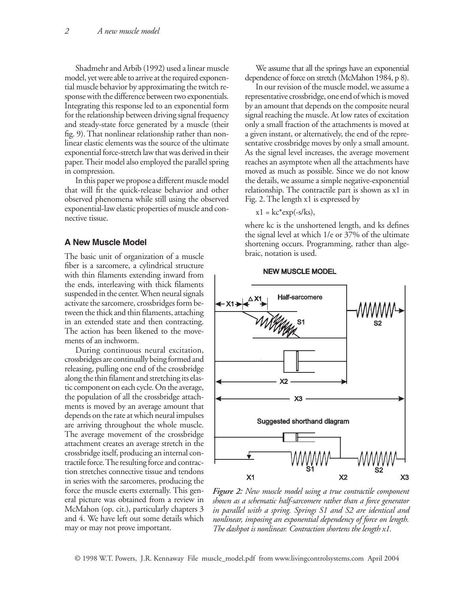Shadmehr and Arbib (1992) used a linear muscle model, yet were able to arrive at the required exponential muscle behavior by approximating the twitch response with the difference between two exponentials. Integrating this response led to an exponential form for the relationship between driving signal frequency and steady-state force generated by a muscle (their fig. 9). That nonlinear relationship rather than nonlinear elastic elements was the source of the ultimate exponential force-stretch law that was derived in their paper. Their model also employed the parallel spring in compression.

In this paper we propose a different muscle model that will fit the quick-release behavior and other observed phenomena while still using the observed exponential-law elastic properties of muscle and connective tissue.

#### **A New Muscle Model**

The basic unit of organization of a muscle fiber is a sarcomere, a cylindrical structure with thin filaments extending inward from the ends, interleaving with thick filaments suspended in the center. When neural signals activate the sarcomere, crossbridges form between the thick and thin filaments, attaching in an extended state and then contracting. The action has been likened to the movements of an inchworm.

During continuous neural excitation, crossbridges are continually being formed and releasing, pulling one end of the crossbridge along the thin filament and stretching its elastic component on each cycle. On the average, the population of all the crossbridge attachments is moved by an average amount that depends on the rate at which neural impulses are arriving throughout the whole muscle. The average movement of the crossbridge attachment creates an average stretch in the crossbridge itself, producing an internal contractile force. The resulting force and contraction stretches connective tissue and tendons in series with the sarcomeres, producing the force the muscle exerts externally. This general picture was obtained from a review in McMahon (op. cit.), particularly chapters 3 and 4. We have left out some details which may or may not prove important.

We assume that all the springs have an exponential dependence of force on stretch (McMahon 1984, p 8).

In our revision of the muscle model, we assume a representative crossbridge, one end of which is moved by an amount that depends on the composite neural signal reaching the muscle. At low rates of excitation only a small fraction of the attachments is moved at a given instant, or alternatively, the end of the representative crossbridge moves by only a small amount. As the signal level increases, the average movement reaches an asymptote when all the attachments have moved as much as possible. Since we do not know the details, we assume a simple negative-exponential relationship. The contractile part is shown as x1 in Fig. 2. The length x1 is expressed by

$$
x1 = kc^*exp(-s/kg),
$$

where kc is the unshortened length, and ks defines the signal level at which 1/e or 37% of the ultimate shortening occurs. Programming, rather than algebraic, notation is used.





*Figure 2: New muscle model using a true contractile component shown as a schematic half-sarcomere rather than a force generator in parallel with a spring. Springs S1 and S2 are identical and nonlinear, imposing an exponential dependency of force on length. The dashpot is nonlinear. Contraction shortens the length x1.*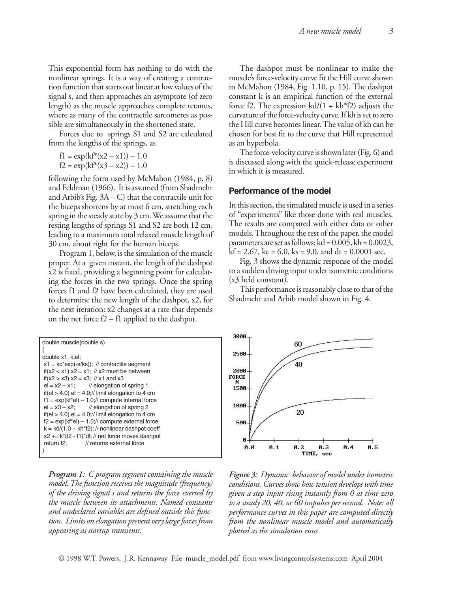This exponential form has nothing to do with the nonlinear springs. It is a way of creating a contraction function that starts out linear at low values of the signal s, and then approaches an asymptote (of zero length) as the muscle approaches complete tetanus, where as many of the contractile sarcomeres as possible are simultaneously in the shortened state.

Forces due to springs S1 and S2 are calculated from the lengths of the springs, as

$$
f1 = \exp(kf^*(x2 - x1)) - 1.0
$$
  

$$
f2 = \exp(kf^*(x3 - x2)) - 1.0
$$

following the form used by McMahon (1984, p. 8) and Feldman (1966). It is assumed (from Shadmehr and Arbib's Fig. 3A – C) that the contractile unit for the biceps shortens by at most 6 cm, stretching each spring in the steady state by 3 cm. We assume that the resting lengths of springs S1 and S2 are both 12 cm, leading to a maximum total relaxed muscle length of 30 cm, about right for the human biceps.

Program 1, below, is the simulation of the muscle proper. At a given instant, the length of the dashpot x2 is fixed, providing a beginning point for calculating the forces in the two springs. Once the spring forces f1 and f2 have been calculated, they are used to determine the new length of the dashpot, x2, for the next iteration: x2 changes at a rate that depends on the net force f2 – f1 applied to the dashpot.

| double muscle(double s)                              |
|------------------------------------------------------|
|                                                      |
| double x1, k.el:                                     |
| $x1 = kc*exp(-s/kg);$ // contractile segment         |
| if(x2 < x1) $x2 = x1$ ; // x2 must be between        |
| if(x2 > x3) x2 = x3; // x1 and x3                    |
| $el = x2 - x1$ ; // elongation of spring 1           |
| if(el > 4.0) el = 4.0;// limit elongation to 4 cm    |
| $f1 = \exp(kf^*el) - 1.0$ ;// compute internal force |
| $el = x3 - x2$ ; // elongation of spring 2           |
| if(el > 4.0) el = 4.0;// limit elongation to 4 cm    |
| $f2 = \exp(kf^*el) - 1.0$ ;// compute external force |
| $k = k d/(1.0 + kh*f2);$ // nonlinear dashpot coeff  |
| $x2 + k*(f2 - f1)*dt;$ // net force moves dashpot    |
| // returns external force<br>return f <sub>2</sub> : |
|                                                      |

*Program 1: C program segment containing the muscle model. The function receives the magnitude (frequency) of the driving signal s and returns the force exerted by the muscle between its attachments. Named constants and undeclared variables are defined outside this function. Limits on elongation prevent very large forces from appearing as startup transients.*

The dashpot must be nonlinear to make the muscle's force-velocity curve fit the Hill curve shown in McMahon (1984, Fig. 1.10, p. 15). The dashpot constant k is an empirical function of the external force f2. The expression  $kd/(1 + kh*f2)$  adjusts the curvature of the force-velocity curve. If kh is set to zero the Hill curve becomes linear. The value of kh can be chosen for best fit to the curve that Hill represented as an hyperbola.

The force-velocity curve is shown later (Fig. 6) and is discussed along with the quick-release experiment in which it is measured.

## **Performance of the model**

In this section, the simulated muscle is used in a series of "experiments" like those done with real muscles. The results are compared with either data or other models. Throughout the rest of the paper, the model parameters are set as follows:  $kd = 0.005$ ,  $kh = 0.0023$ ,  $kf = 2.67$ ,  $kc = 6.0$ ,  $ks = 9.0$ , and  $dt = 0.0001$  sec.

Fig. 3 shows the dynamic response of the model to a sudden driving input under isometric conditions (x3 held constant).

This performance is reasonably close to that of the Shadmehr and Arbib model shown in Fig. 4.



*Figure 3: Dynamic behavior of model under isometric conditions. Curves show how tension develops with time given a step input rising instantly from 0 at time zero to a steady 20, 40, or 60 impulses per second. Note: all performance curves in this paper are computed directly from the nonlinear muscle model and automatically plotted as the simulation runs*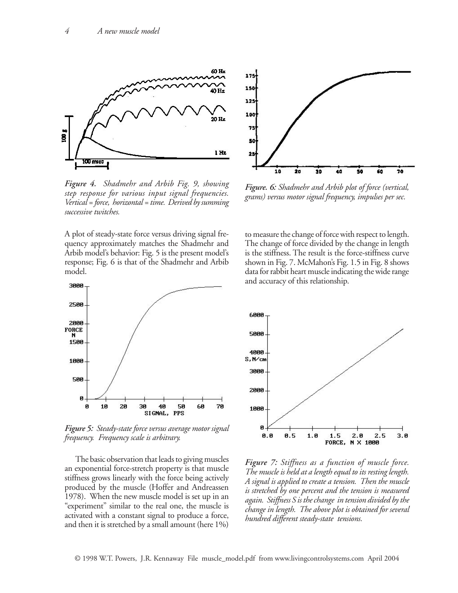

*Figure 4. Shadmehr and Arbib Fig. 9, showing step response for various input signal frequencies. Vertical = force, horizontal = time. Derived by summing successive twitches.*

A plot of steady-state force versus driving signal frequency approximately matches the Shadmehr and Arbib model's behavior: Fig. 5 is the present model's response; Fig. 6 is that of the Shadmehr and Arbib model.



*Figure 5: Steady-state force versus average motor signal frequency. Frequency scale is arbitrary.*

The basic observation that leads to giving muscles an exponential force-stretch property is that muscle stiffness grows linearly with the force being actively produced by the muscle (Hoffer and Andreassen 1978). When the new muscle model is set up in an "experiment" similar to the real one, the muscle is activated with a constant signal to produce a force, and then it is stretched by a small amount (here 1%)



*Figure. 6: Shadmehr and Arbib plot of force (vertical, grams) versus motor signal frequency, impulses per sec.*

to measure the change of force with respect to length. The change of force divided by the change in length is the stiffness. The result is the force-stiffness curve shown in Fig. 7. McMahon's Fig. 1.5 in Fig. 8 shows data for rabbit heart muscle indicating the wide range and accuracy of this relationship.



*Figure 7: Stiffness as a function of muscle force. The muscle is held at a length equal to its resting length. A signal is applied to create a tension. Then the muscle is stretched by one percent and the tension is measured again. Stiffness S is the change in tension divided by the change in length. The above plot is obtained for several hundred different steady-state tensions.*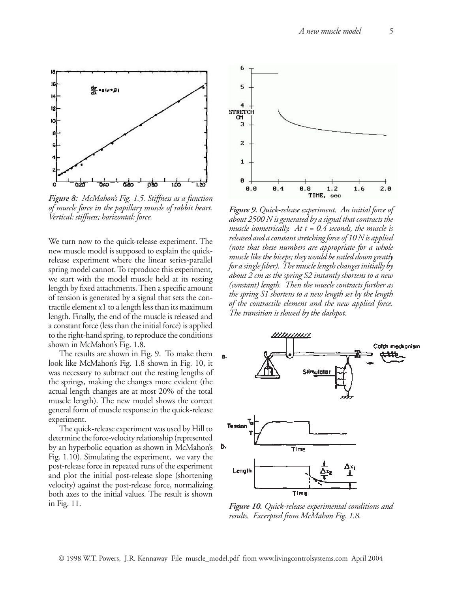

*Figure 8: McMahon's Fig. 1.5. Stiffness as a function of muscle force in the papillary muscle of rabbit heart. Vertical: stiffness; horizontal: force.*

We turn now to the quick-release experiment. The new muscle model is supposed to explain the quickrelease experiment where the linear series-parallel spring model cannot. To reproduce this experiment, we start with the model muscle held at its resting length by fixed attachments. Then a specific amount of tension is generated by a signal that sets the contractile element x1 to a length less than its maximum length. Finally, the end of the muscle is released and a constant force (less than the initial force) is applied to the right-hand spring, to reproduce the conditions shown in McMahon's Fig. 1.8.

The results are shown in Fig. 9. To make them look like McMahon's Fig. 1.8 shown in Fig. 10, it was necessary to subtract out the resting lengths of the springs, making the changes more evident (the actual length changes are at most 20% of the total muscle length). The new model shows the correct general form of muscle response in the quick-release experiment.

The quick-release experiment was used by Hill to determine the force-velocity relationship (represented by an hyperbolic equation as shown in McMahon's Fig. 1.10). Simulating the experiment, we vary the post-release force in repeated runs of the experiment and plot the initial post-release slope (shortening velocity) against the post-release force, normalizing both axes to the initial values. The result is shown in Fig. 11.



*Figure 9. Quick-release experiment. An initial force of about 2500 N is generated by a signal that contracts the muscle isometrically. At t = 0.4 seconds, the muscle is released and a constant stretching force of 10 N is applied (note that these numbers are appropriate for a whole muscle like the biceps; they would be scaled down greatly for a single fiber). The muscle length changes initially by about 2 cm as the spring S2 instantly shortens to a new (constant) length. Then the muscle contracts further as the spring S1 shortens to a new length set by the length of the contractile element and the new applied force. The transition is slowed by the dashpot.* 



*Figure 10. Quick-release experimental conditions and results. Excerpted from McMahon Fig. 1.8.*